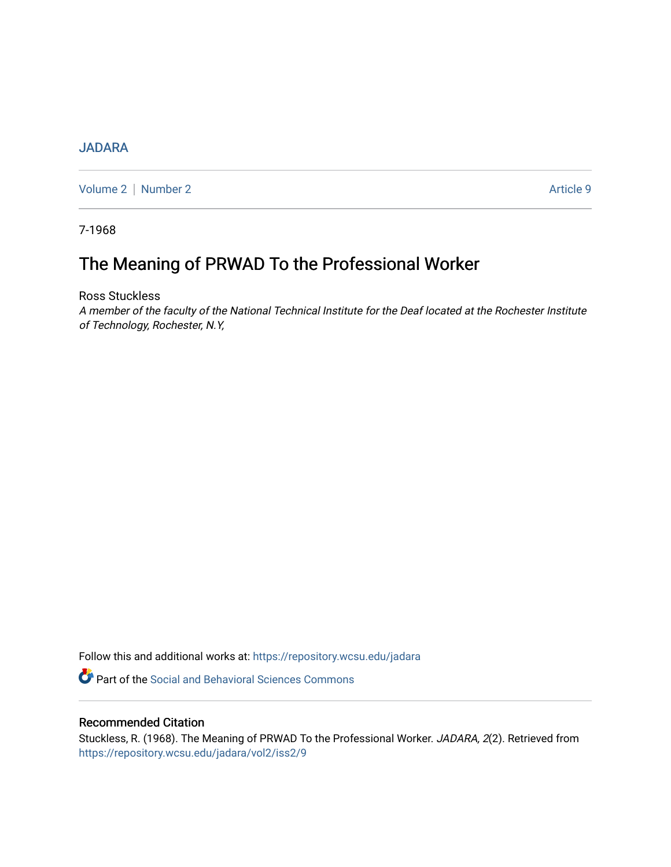## [JADARA](https://repository.wcsu.edu/jadara)

[Volume 2](https://repository.wcsu.edu/jadara/vol2) [Number 2](https://repository.wcsu.edu/jadara/vol2/iss2) Article 9

7-1968

# The Meaning of PRWAD To the Professional Worker

Ross Stuckless

A member of the faculty of the National Technical Institute for the Deaf located at the Rochester Institute of Technology, Rochester, N.Y,

Follow this and additional works at: [https://repository.wcsu.edu/jadara](https://repository.wcsu.edu/jadara?utm_source=repository.wcsu.edu%2Fjadara%2Fvol2%2Fiss2%2F9&utm_medium=PDF&utm_campaign=PDFCoverPages)

**Part of the Social and Behavioral Sciences Commons** 

### Recommended Citation

Stuckless, R. (1968). The Meaning of PRWAD To the Professional Worker. JADARA, 2(2). Retrieved from [https://repository.wcsu.edu/jadara/vol2/iss2/9](https://repository.wcsu.edu/jadara/vol2/iss2/9?utm_source=repository.wcsu.edu%2Fjadara%2Fvol2%2Fiss2%2F9&utm_medium=PDF&utm_campaign=PDFCoverPages)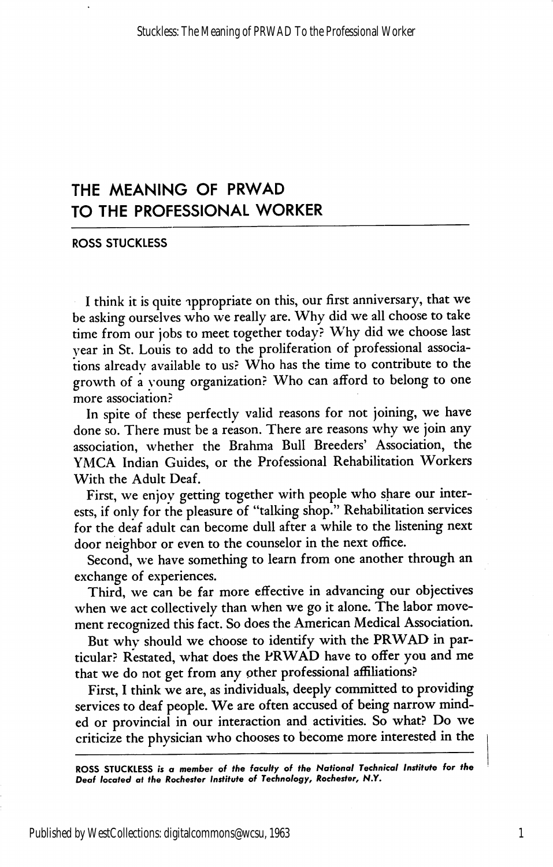# THE MEANING OF PRWAD TO THE PROFESSIONAL WORKER

ROSS STUCKLESS

I think it is quite ippropriate on this, our first anniversary, that we be asking ourselves who we really are. Why did we all choose to take time from our jobs to meet together today? Why did we choose last year in St. Louis to add to the proliferation of professional associa tions alreadv available to us? Who has the time to contribute to the growth of a young organization? Who can afford to belong to one more association?

In spite of these perfectly valid reasons for not joining, we have done so. There must be a reason. There are reasons why we join any association, whether the Brahma Bull Breeders' Association, the YMCA Indian Guides, or the Professional Rehabilitation Workers With the Adult Deaf.

First, we enjoy getting together with people who share our inter ests, if only for the pleasure of "talking shop." Rehabilitation services for the deaf adult can become dull after a while to the listening next door neighbor or even to the counselor in the next office.

Second, we have something to learn from one another through an exchange of experiences.

Third, we can be far more effective in advancing our objectives when we act collectively than when we go it alone. The labor move ment recognized this fact. So does the American Medical Association.

But why should we choose to identify with the PRWAD in par ticular? Restated, what does the PRWAD have to offer you and me that we do not get from any other professional affiliations?

First, I think we are, as individuals, deeply committed to providing services to deaf people. We are often accused of being narrow mind ed or provincial in our interaction and activities. So what? Do we criticize the physician who chooses to become more interested in the

ROSS STUCKLESS is a member of the faculty of the National Technical Institute for the Deaf located at the Rochester Institute of Technology, Rochester, N.Y,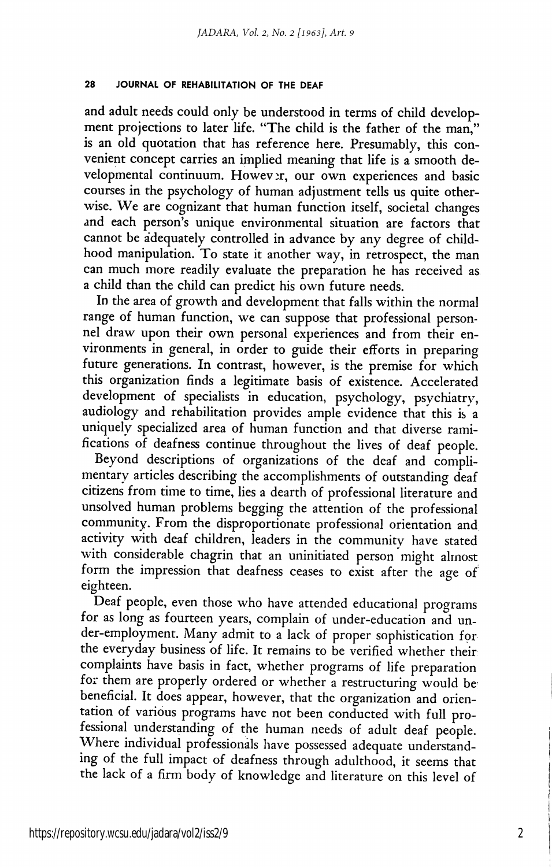### 28 JOURNAL OF REHABILITATION OF THE DEAF

and adult needs could only be understood in terms of child develop ment projections to later life. "The child is the father of the man," is an old quotation that has reference here. Presumably, this con venient concept carries an implied meaning that life is a smooth de velopmental continuum. However, our own experiences and basic courses in the psychology of human adjustment tells us quite other wise. We are cognizant that human function itself, societal changes and each person's unique environmental situation are factors that cannot be adequately controlled in advance by any degree of child hood manipulation. To state it another way, in retrospect, the man can much more readily evaluate the preparation he has received as a child than the child can predict his own future needs.

In the area of growth and development that falls within the normal range of human function, we can suppose that professional person nel draw upon their own personal experiences and from their en vironments in general, in order to guide their efforts in preparing future generations. In contrast, however, is the premise for which this organization finds a legitimate basis of existence. Accelerated development of specialists in education, psychology, psychiatry, audiology and rehabilitation provides ample evidence that this is a uniquely specialized area of human function and that diverse rami fications of deafness continue throughout the lives of deaf people.

Beyond descriptions of organizations of the deaf and compli mentary articles describing the accomplishments of outstanding deaf citizens from time to time, lies a dearth of professional literature and unsolved human problems begging the attention of the professional community. From the disproportionate professional orientation and activity with deaf children, leaders in the community have stated with considerable chagrin that an uninitiated person might almost form the impression that deafness ceases to exist after the age of eighteen.

Deaf people, even those who have attended educational programs for as long as fourteen years, complain of under-education and under-employment. Many admit to a lack of proper sophistication for the everyday business of life. It remains to be verified whether their complaints have basis in fact, whether programs of life preparation for them are properly ordered or whether a restructuring would be' beneficial. It does appear, however, that the organization and orien tation of various programs have not been conducted with full pro fessional understanding of the human needs of adult deaf people. Where individual professionals have possessed adequate understand ing of the full impact of deafness through adulthood, it seems that the lack of a firm body of knowledge and literature on this level of

2